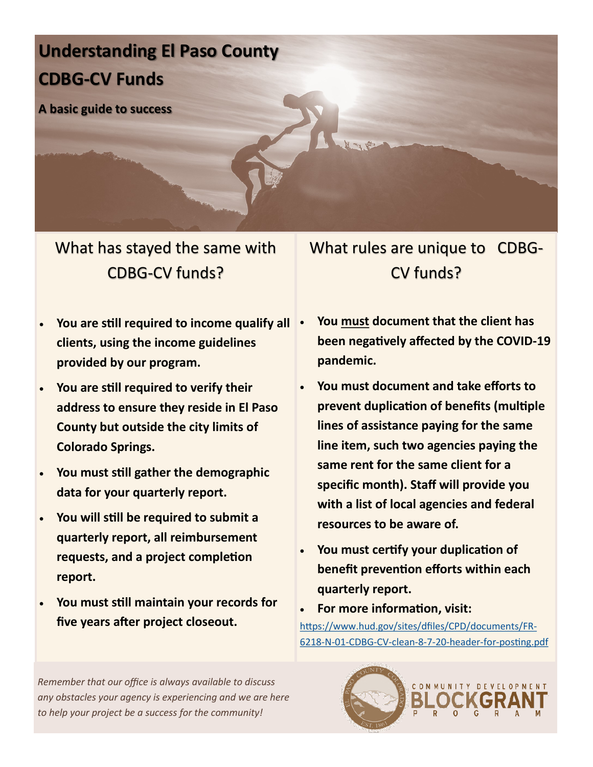# **Understanding El Paso County CDBG-CV Funds**

**A basic guide to success**

What has stayed the same with CDBG-CV funds?

- What rules are unique to CDBG-CV funds?
- **You are still required to income qualify all clients, using the income guidelines provided by our program.**
- **You are still required to verify their address to ensure they reside in El Paso County but outside the city limits of Colorado Springs.**
- **You must still gather the demographic data for your quarterly report.**
- **You will still be required to submit a quarterly report, all reimbursement requests, and a project completion report.**
- **You must still maintain your records for five years after project closeout.**
- **You must document that the client has been negatively affected by the COVID-19 pandemic.**
- **You must document and take efforts to prevent duplication of benefits (multiple lines of assistance paying for the same line item, such two agencies paying the same rent for the same client for a specific month). Staff will provide you with a list of local agencies and federal resources to be aware of.**
- **You must certify your duplication of benefit prevention efforts within each quarterly report.**
- **For more information, visit:** [https://www.hud.gov/sites/dfiles/CPD/documents/FR](https://www.hud.gov/sites/dfiles/CPD/documents/FR-6218-N-01-CDBG-CV-clean-8-7-20-header-for-posting.pdf)-6218-N-01-CDBG-CV-clean-8-7-20-header-for-[posting.pdf](https://www.hud.gov/sites/dfiles/CPD/documents/FR-6218-N-01-CDBG-CV-clean-8-7-20-header-for-posting.pdf)

*Remember that our office is always available to discuss any obstacles your agency is experiencing and we are here to help your project be a success for the community!*